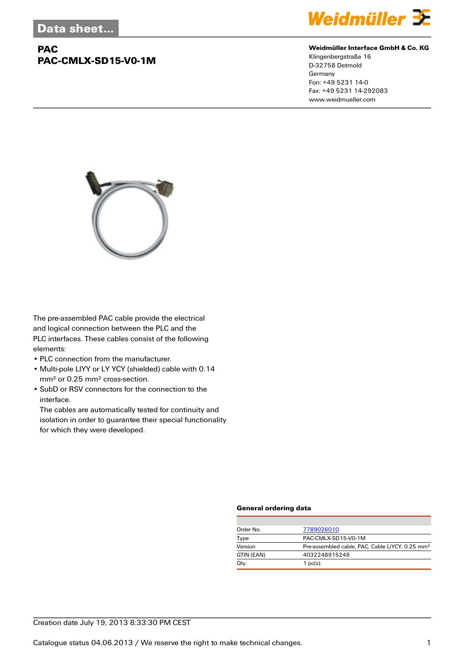# **PAC PAC-CMLX-SD15-V0-1M**



#### **Weidmüller Interface GmbH & Co. KG**

Klingenbergstraße 16 D-32758 Detmold Germany Fon: +49 5231 14-0 Fax: +49 5231 14-292083 www.weidmueller.com



The pre-assembled PAC cable provide the electrical and logical connection between the PLC and the PLC interfaces. These cables consist of the following elements:

- PLC connection from the manufacturer.
- Multi-pole LIYY or LY YCY (shielded) cable with 0.14 mm² or 0.25 mm² cross-section.
- SubD or RSV connectors for the connection to the interface.

The cables are automatically tested for continuity and isolation in order to guarantee their special functionality for which they were developed.

#### **General ordering data**

| Order No.  | 7789026010                                                  |  |  |
|------------|-------------------------------------------------------------|--|--|
| Type       | PAC-CMLX-SD15-V0-1M                                         |  |  |
| Version    | Pre-assembled cable, PAC, Cable LiYCY, 0.25 mm <sup>2</sup> |  |  |
| GTIN (EAN) | 4032248915248                                               |  |  |
| Qty.       | 1 $pc(s)$ .                                                 |  |  |